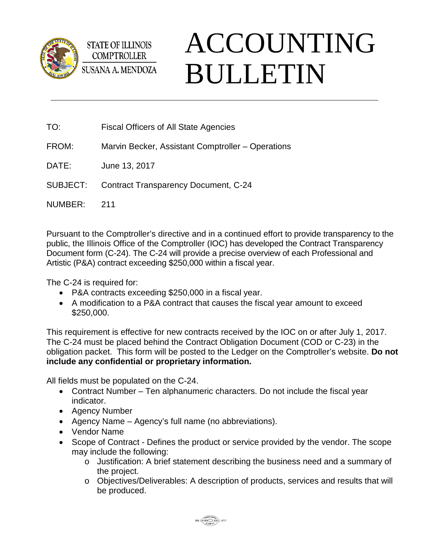

**STATE OF ILLINOIS COMPTROLLER** SUSANA A. MENDOZA

## ACCOUNTING BULLETIN

- TO: Fiscal Officers of All State Agencies
- FROM: Marvin Becker, Assistant Comptroller Operations
- DATE: June 13, 2017
- SUBJECT: Contract Transparency Document, C-24
- NUMBER: 211

Pursuant to the Comptroller's directive and in a continued effort to provide transparency to the public, the Illinois Office of the Comptroller (IOC) has developed the Contract Transparency Document form (C-24). The C-24 will provide a precise overview of each Professional and Artistic (P&A) contract exceeding \$250,000 within a fiscal year.

The C-24 is required for:

- P&A contracts exceeding \$250,000 in a fiscal year.
- A modification to a P&A contract that causes the fiscal year amount to exceed \$250,000.

This requirement is effective for new contracts received by the IOC on or after July 1, 2017. The C-24 must be placed behind the Contract Obligation Document (COD or C-23) in the obligation packet. This form will be posted to the Ledger on the Comptroller's website. **Do not include any confidential or proprietary information.** 

All fields must be populated on the C-24.

- Contract Number Ten alphanumeric characters. Do not include the fiscal year indicator.
- Agency Number
- Agency Name Agency's full name (no abbreviations).
- Vendor Name
- Scope of Contract Defines the product or service provided by the vendor. The scope may include the following:
	- o Justification: A brief statement describing the business need and a summary of the project.
	- o Objectives/Deliverables: A description of products, services and results that will be produced.